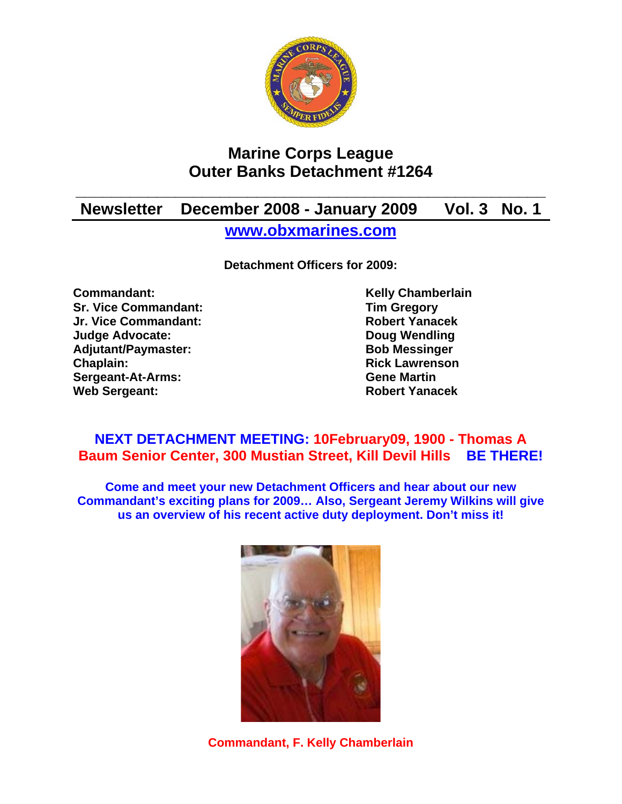

# **Marine Corps League Outer Banks Detachment #1264**

# **\_\_\_\_\_\_\_\_\_\_\_\_\_\_\_\_\_\_\_\_\_\_\_\_\_\_\_\_\_\_\_\_\_\_\_\_\_\_\_\_\_\_\_\_\_\_\_\_\_\_\_\_ Newsletter December 2008 - January 2009 Vol. 3 No. 1 www.obxmarines.com**

**Detachment Officers for 2009:** 

**Commandant:** Kelly Chamberlain **Sr. Vice Commandant:** Tim Gregory<br>
Jr. Vice Commandant: The School of The Robert Yanacek **Jr. Vice Commandant: Judge Advocate: Doug Wendling**  Adjutant/Paymaster: Bob Messinger **Chaplain: Chaplain: Rick Lawrenson Sergeant-At-Arms: Gene Martin Web Sergeant: Robert Yanacek**

## **NEXT DETACHMENT MEETING: 10February09, 1900 - Thomas A Baum Senior Center, 300 Mustian Street, Kill Devil Hills BE THERE!**

**Come and meet your new Detachment Officers and hear about our new Commandant's exciting plans for 2009… Also, Sergeant Jeremy Wilkins will give us an overview of his recent active duty deployment. Don't miss it!** 



**Commandant, F. Kelly Chamberlain**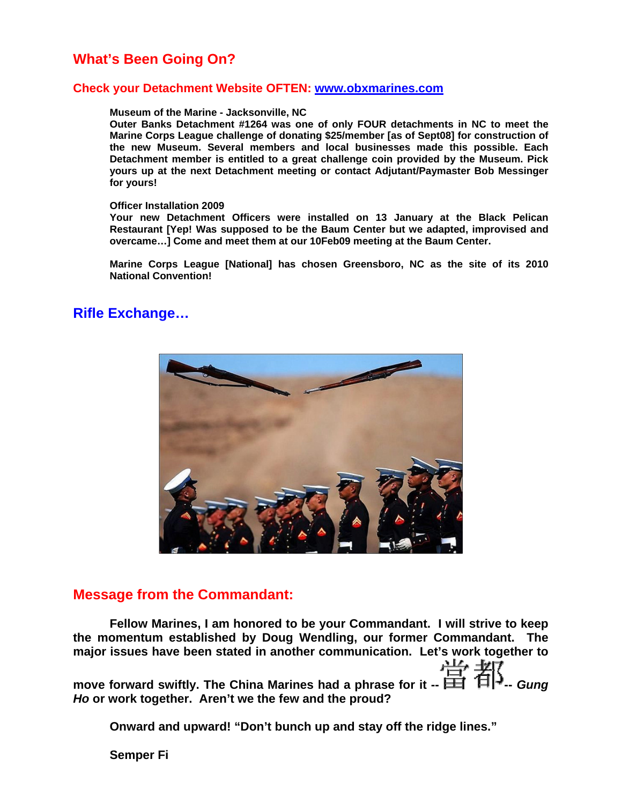## **What's Been Going On?**

#### **Check your Detachment Website OFTEN: www.obxmarines.com**

#### **Museum of the Marine - Jacksonville, NC**

**Outer Banks Detachment #1264 was one of only FOUR detachments in NC to meet the Marine Corps League challenge of donating \$25/member [as of Sept08] for construction of the new Museum. Several members and local businesses made this possible. Each Detachment member is entitled to a great challenge coin provided by the Museum. Pick yours up at the next Detachment meeting or contact Adjutant/Paymaster Bob Messinger for yours!** 

#### **Officer Installation 2009**

**Your new Detachment Officers were installed on 13 January at the Black Pelican Restaurant [Yep! Was supposed to be the Baum Center but we adapted, improvised and overcame…] Come and meet them at our 10Feb09 meeting at the Baum Center.** 

**Marine Corps League [National] has chosen Greensboro, NC as the site of its 2010 National Convention!** 

### **Rifle Exchange…**



### **Message from the Commandant:**

**Fellow Marines, I am honored to be your Commandant. I will strive to keep the momentum established by Doug Wendling, our former Commandant. The major issues have been stated in another communication. Let's work together to move forward swiftly. The China Marines had a phrase for it --**  $\equiv$ *Ho* **or work together. Aren't we the few and the proud?** 

**Onward and upward! "Don't bunch up and stay off the ridge lines."** 

**Semper Fi**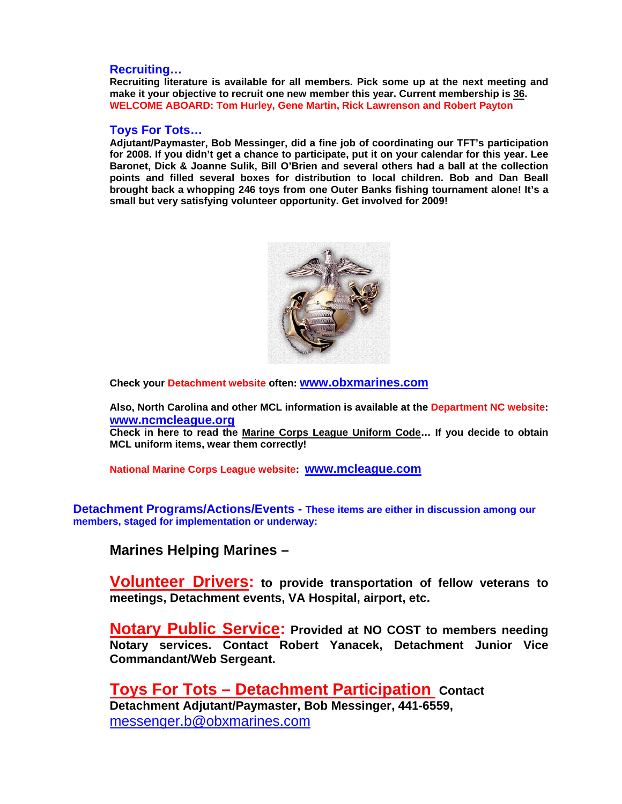### **Recruiting…**

**Recruiting literature is available for all members. Pick some up at the next meeting and make it your objective to recruit one new member this year. Current membership is 36. WELCOME ABOARD: Tom Hurley, Gene Martin, Rick Lawrenson and Robert Payton** 

#### **Toys For Tots…**

**Adjutant/Paymaster, Bob Messinger, did a fine job of coordinating our TFT's participation for 2008. If you didn't get a chance to participate, put it on your calendar for this year. Lee Baronet, Dick & Joanne Sulik, Bill O'Brien and several others had a ball at the collection points and filled several boxes for distribution to local children. Bob and Dan Beall brought back a whopping 246 toys from one Outer Banks fishing tournament alone! It's a small but very satisfying volunteer opportunity. Get involved for 2009!** 



**Check your Detachment website often: www.obxmarines.com**

**Also, North Carolina and other MCL information is available at the Department NC website: www.ncmcleague.org**

**Check in here to read the Marine Corps League Uniform Code… If you decide to obtain MCL uniform items, wear them correctly!** 

**National Marine Corps League website: www.mcleague.com**

**Detachment Programs/Actions/Events - These items are either in discussion among our members, staged for implementation or underway:** 

**Marines Helping Marines –** 

**Volunteer Drivers: to provide transportation of fellow veterans to meetings, Detachment events, VA Hospital, airport, etc.** 

**Notary Public Service: Provided at NO COST to members needing Notary services. Contact Robert Yanacek, Detachment Junior Vice Commandant/Web Sergeant.** 

**Toys For Tots – Detachment Participation Contact Detachment Adjutant/Paymaster, Bob Messinger, 441-6559,**  messenger.b@obxmarines.com